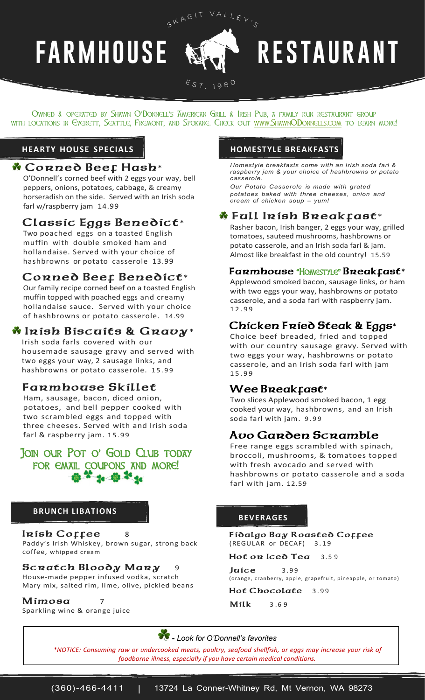# **FARMHOUSE**

# **RESTAURANT**

EST. 198<sup>0</sup>

SKAGIT VALLEY'S

Owned & operated by Shawn O'Donnell's American Grill & Irish Pub, a family run restaurant group with locations in Everett, Seattle, Fremont, and Spokane. Check out [www.ShawnODonnells.com](http://www.shawnodonnells.com/) to learn more!

### **HEARTY HOUSE SPECIALS HOMESTYLE BREAKFASTS**

### **Corned Beef Hash**\*

O'Donnell's corned beef with 2 eggs your way, bell peppers, onions, potatoes, cabbage, & creamy horseradish on the side. Served with an Irish soda farl w/raspberry jam 14.99

# **Classic Eggs Benedict**\*

Two poached eggs on a toasted English muffin with double smoked ham and hollandaise. Served with your choice of hashbrowns or potato casserole 13.99

# **Corned Beef Benedict**\*

Our family recipe corned beef on a toasted English muffin topped with poached eggs and creamy hollandaise sauce. Served with your choice of hashbrowns or potato casserole. 14.99

# **Irish Biscuits & Gravy**\*

Irish soda farls covered with our housemade sausage gravy and served with two eggs your way, 2 sausage links, and hashbrowns or potato casserole. 15.99

# **Farmhouse Skillet**

Ham, sausage, bacon, diced onion, potatoes, and bell pepper cooked with two scrambled eggs and topped with three cheeses. Served with and Irish soda farl & raspberry jam. 15.99

Join our Pot o' Gold Club today FOR EMAIL COUPONS AND MORE!

#### **BRUNCH LIBATIONS**

**Irish Coffee** 8 Paddy's Irish Whiskey, brown sugar, strong back coffee, whipped cream

#### **Scratch Bloody Mary** 9

House-made pepper infused vodka, scratch Mary mix, salted rim, lime, olive, pickled beans

**Mimosa** 7 Sparkling wine & orange juice

*Homestyle breakfasts come with an Irish soda farl & raspberry jam & your choice of hashbrowns or potato casserole.*

*Our Potato Casserole is made with grated potatoes baked with three cheeses, onion and cream of chicken soup – yum!*

# **Full Irish Breakfast**\*

Rasher bacon, Irish banger, 2 eggs your way, grilled tomatoes, sauteed mushrooms, hashbrowns or potato casserole, and an Irish soda farl & jam. Almost like breakfast in the old country! 15.59

#### **Farmhouse** "Homestyle" **Breakfast**\*

Applewood smoked bacon, sausage links, or ham with two eggs your way, hashbrowns or potato casserole, and a soda farl with raspberry jam. 1 2 . 9 9

# **Chicken Fried Steak & Eggs**\*

Choice beef breaded, fried and topped with our country sausage gravy. Served with two eggs your way, hashbrowns or potato casserole, and an Irish soda farl with jam 1 5 . 9 9

# **Wee Breakfast**\*

Two slices Applewood smoked bacon, 1 egg cooked your way, hashbrowns, and an Irish soda farl with jam. 9.99

# **Avo Garden Scramble**

Free range eggs scrambled with spinach, broccoli, mushrooms, & tomatoes topped with fresh avocado and served with hashbrowns or potato casserole and a soda farl with jam. 12.59

#### **BEVERAGES**

**Fidalgo Bay Roasted Coffee** (REGULAR or DECAF) 3 . 1 9

Hot on Iced Tea 3.59

*<u>Iuice* 3.99</u> (orange, cranberry, apple, grapefruit, pineapple, or tomato)

Hot Chocolate 3.99

**Milk** 3 .6 9

**-** *Look for O'Donnell's favorites*

*\*NOTICE: Consuming raw or undercooked meats, poultry, seafood shellfish, or eggs may increase your risk of foodborne illness, especially if you have certain medical conditions.*